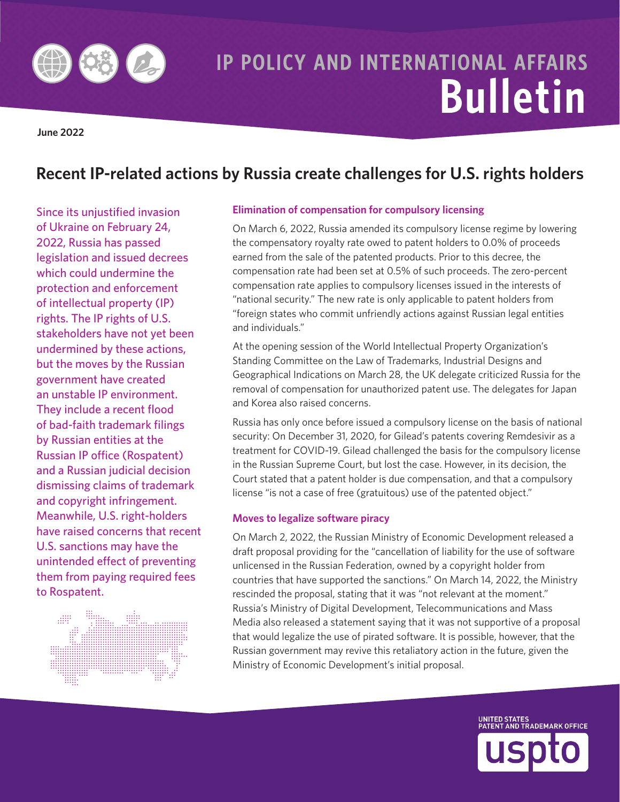

# **IP POLICY AND INTERNATIONAL AFFAIRS Bulletin**

**June 2022** 

## Recent IP-related actions by Russia create challenges for U.S. rights holders

Since its unjustified invasion of Ukraine on February 24, 2022, Russia has passed legislation and issued decrees which could undermine the protection and enforcement of intellectual property (IP) rights. The IP rights of U.S. stakeholders have not yet been undermined by these actions, but the moves by the Russian government have created an unstable IP environment. They include a recent flood of bad-faith trademark filings by Russian entities at the **Russian IP office (Rospatent)** and a Russian judicial decision dismissing claims of trademark and copyright infringement. Meanwhile, U.S. right-holders have raised concerns that recent U.S. sanctions may have the unintended effect of preventing them from paying required fees to Rospatent.



#### **Elimination of compensation for compulsory licensing**

On March 6, 2022, Russia amended its compulsory license regime by lowering the compensatory royalty rate owed to patent holders to 0.0% of proceeds earned from the sale of the patented products. Prior to this decree, the compensation rate had been set at 0.5% of such proceeds. The zero-percent compensation rate applies to compulsory licenses issued in the interests of "national security." The new rate is only applicable to patent holders from "foreign states who commit unfriendly actions against Russian legal entities and individuals."

At the opening session of the World Intellectual Property Organization's Standing Committee on the Law of Trademarks, Industrial Designs and Geographical Indications on March 28, the UK delegate criticized Russia for the removal of compensation for unauthorized patent use. The delegates for Japan and Korea also raised concerns.

Russia has only once before issued a compulsory license on the basis of national security: On December 31, 2020, for Gilead's patents covering Remdesivir as a treatment for COVID-19. Gilead challenged the basis for the compulsory license in the Russian Supreme Court, but lost the case. However, in its decision, the Court stated that a patent holder is due compensation, and that a compulsory license "is not a case of free (gratuitous) use of the patented object."

#### Moves to legalize software piracy

On March 2, 2022, the Russian Ministry of Economic Development released a draft proposal providing for the "cancellation of liability for the use of software unlicensed in the Russian Federation, owned by a copyright holder from countries that have supported the sanctions." On March 14, 2022, the Ministry rescinded the proposal, stating that it was "not relevant at the moment." Russia's Ministry of Digital Development, Telecommunications and Mass Media also released a statement saying that it was not supportive of a proposal that would legalize the use of pirated software. It is possible, however, that the Russian government may revive this retaliatory action in the future, given the Ministry of Economic Development's initial proposal.

UNITED STATES<br>PATENT AND TRADEMARK OFFICE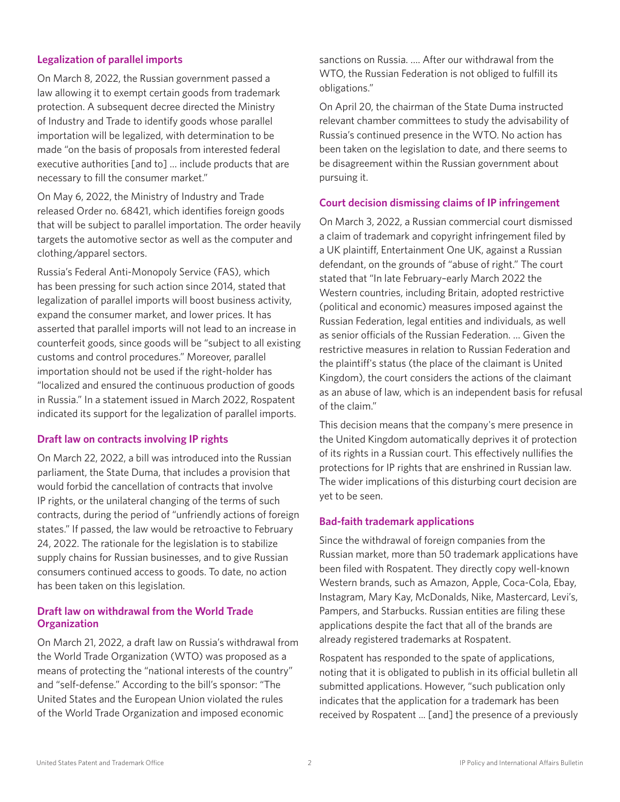#### **Legalization of parallel imports**

On March 8, 2022, the Russian government passed a law allowing it to exempt certain goods from trademark protection. A subsequent decree directed the Ministry of Industry and Trade to identify goods whose parallel importation will be legalized, with determination to be made "on the basis of proposals from interested federal executive authorities [and to] … include products that are necessary to fill the consumer market."

On May 6, 2022, the Ministry of Industry and Trade released Order no. 68421, which identifes foreign goods that will be subject to parallel importation. The order heavily targets the automotive sector as well as the computer and clothing/apparel sectors.

Russia's Federal Anti-Monopoly Service (FAS), which has been pressing for such action since 2014, stated that legalization of parallel imports will boost business activity, expand the consumer market, and lower prices. It has asserted that parallel imports will not lead to an increase in counterfeit goods, since goods will be "subject to all existing customs and control procedures." Moreover, parallel importation should not be used if the right-holder has "localized and ensured the continuous production of goods in Russia." In a statement issued in March 2022, Rospatent indicated its support for the legalization of parallel imports.

#### **Draft law on contracts involving IP rights**

On March 22, 2022, a bill was introduced into the Russian parliament, the State Duma, that includes a provision that would forbid the cancellation of contracts that involve IP rights, or the unilateral changing of the terms of such contracts, during the period of "unfriendly actions of foreign states." If passed, the law would be retroactive to February 24, 2022. The rationale for the legislation is to stabilize supply chains for Russian businesses, and to give Russian consumers continued access to goods. To date, no action has been taken on this legislation.

#### **Draft law on withdrawal from the World Trade Organization**

On March 21, 2022, a draft law on Russia's withdrawal from the World Trade Organization (WTO) was proposed as a means of protecting the "national interests of the country" and "self-defense." According to the bill's sponsor: "The United States and the European Union violated the rules of the World Trade Organization and imposed economic

sanctions on Russia. …. After our withdrawal from the WTO, the Russian Federation is not obliged to fulfill its obligations."

On April 20, the chairman of the State Duma instructed relevant chamber committees to study the advisability of Russia's continued presence in the WTO. No action has been taken on the legislation to date, and there seems to be disagreement within the Russian government about pursuing it.

#### **Court decision dismissing claims of IP infringement**

On March 3, 2022, a Russian commercial court dismissed a claim of trademark and copyright infringement fled by a UK plaintif, Entertainment One UK, against a Russian defendant, on the grounds of "abuse of right." The court stated that "In late February–early March 2022 the Western countries, including Britain, adopted restrictive (political and economic) measures imposed against the Russian Federation, legal entities and individuals, as well as senior officials of the Russian Federation. ... Given the restrictive measures in relation to Russian Federation and the plaintif's status (the place of the claimant is United Kingdom), the court considers the actions of the claimant as an abuse of law, which is an independent basis for refusal of the claim."

This decision means that the company's mere presence in the United Kingdom automatically deprives it of protection of its rights in a Russian court. This efectively nullifes the protections for IP rights that are enshrined in Russian law. The wider implications of this disturbing court decision are yet to be seen.

#### **Bad-faith trademark applications**

Since the withdrawal of foreign companies from the Russian market, more than 50 trademark applications have been filed with Rospatent. They directly copy well-known Western brands, such as Amazon, Apple, Coca-Cola, Ebay, Instagram, Mary Kay, McDonalds, Nike, Mastercard, Levi's, Pampers, and Starbucks. Russian entities are filing these applications despite the fact that all of the brands are already registered trademarks at Rospatent.

Rospatent has responded to the spate of applications, noting that it is obligated to publish in its official bulletin all submitted applications. However, "such publication only indicates that the application for a trademark has been received by Rospatent ... [and] the presence of a previously